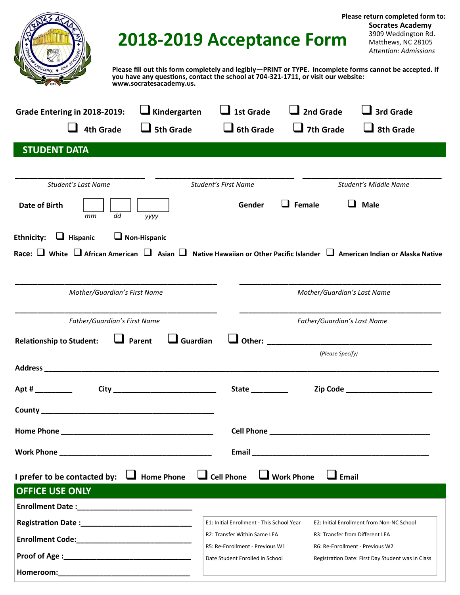|                                                                                                                        | Please return completed form to:<br><b>Socrates Academy</b><br>3909 Weddington Rd.<br>2018-2019 Acceptance Form<br>Matthews, NC 28105<br>Attention: Admissions<br>Please fill out this form completely and legibly-PRINT or TYPE. Incomplete forms cannot be accepted. If<br>you have any questions, contact the school at 704-321-1711, or visit our website: |
|------------------------------------------------------------------------------------------------------------------------|----------------------------------------------------------------------------------------------------------------------------------------------------------------------------------------------------------------------------------------------------------------------------------------------------------------------------------------------------------------|
| www.socratesacademy.us.<br>$\Box$ Kindergarten<br>Grade Entering in 2018-2019:<br><b>4th Grade</b><br><b>5th Grade</b> | 2nd Grade<br>1st Grade<br>3rd Grade<br><b>6th Grade</b><br>7th Grade<br>8th Grade                                                                                                                                                                                                                                                                              |
| <b>STUDENT DATA</b>                                                                                                    |                                                                                                                                                                                                                                                                                                                                                                |
| Student's Last Name<br>Date of Birth<br>dd<br>mm<br>уууу<br>$\Box$ Non-Hispanic<br><b>Ethnicity:</b><br>Hispanic       | <b>Student's First Name</b><br>Student's Middle Name<br>Female<br>Male<br>Gender<br>Race: $\Box$ White $\Box$ African American $\Box$ Asian $\Box$ Native Hawaiian or Other Pacific Islander $\Box$ American Indian or Alaska Native                                                                                                                           |
| Mother/Guardian's First Name                                                                                           | Mother/Guardian's Last Name                                                                                                                                                                                                                                                                                                                                    |
| Father/Guardian's First Name                                                                                           | Father/Guardian's Last Name<br>(Please Specify)                                                                                                                                                                                                                                                                                                                |
|                                                                                                                        |                                                                                                                                                                                                                                                                                                                                                                |
|                                                                                                                        | Zip Code _________________________<br>State __________                                                                                                                                                                                                                                                                                                         |
|                                                                                                                        |                                                                                                                                                                                                                                                                                                                                                                |
|                                                                                                                        |                                                                                                                                                                                                                                                                                                                                                                |
|                                                                                                                        |                                                                                                                                                                                                                                                                                                                                                                |
| I prefer to be contacted by: $\Box$ Home Phone<br><b>OFFICE USE ONLY</b>                                               | $\Box$ Cell Phone $\Box$ Work Phone<br>$\Box$ Email                                                                                                                                                                                                                                                                                                            |

| <b>ULLICE USE UNEL</b>    |                                           |                                                   |
|---------------------------|-------------------------------------------|---------------------------------------------------|
| <b>Enrollment Date:</b>   |                                           |                                                   |
| <b>Registration Date:</b> | E1: Initial Enrollment - This School Year | E2: Initial Enrollment from Non-NC School         |
| <b>Enrollment Code:</b>   | R2: Transfer Within Same LEA              | R3: Transfer from Different LEA                   |
|                           | R5: Re-Enrollment - Previous W1           | R6: Re-Enrollment - Previous W2                   |
| <b>Proof of Age:</b>      | Date Student Enrolled in School           | Registration Date: First Day Student was in Class |
| Homeroom:                 |                                           |                                                   |